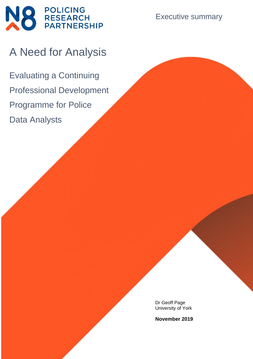

Executive summary

# A Need for Analysis

Evaluating a Continuing Professional Development Programme for Police Data Analysts

> Dr Geoff Page University of York

> **November 2019**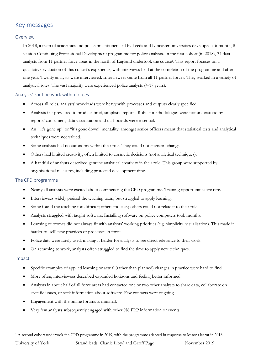# Key messages

### Overview

In 2018, a team of academics and police practitioners led by Leeds and Lancaster universities developed a 6-month, 8 session Continuing Professional Development programme for police analysts. In the first cohort (in 2018), 34 data analysts from 11 partner force areas in the north of England undertook the course<sup>1</sup> . This report focuses on a qualitative evaluation of this cohort's experience, with interviews held at the completion of the programme and after one year. Twenty analysts were interviewed. Interviewees came from all 11 partner forces. They worked in a variety of analytical roles. The vast majority were experienced police analysts (4-17 years).

## Analysts' routine work within forces

- Across all roles, analysts' workloads were heavy with processes and outputs clearly specified.
- Analysts felt pressured to produce brief, simplistic reports. Robust methodologies were not understood by reports' consumers; data visualisation and dashboards were essential.
- An '"it's gone up" or "it's gone down" mentality' amongst senior officers meant that statistical tests and analytical techniques were not valued.
- Some analysts had no autonomy within their role. They could not envision change.
- Others had limited creativity, often limited to cosmetic decisions (not analytical techniques).
- A handful of analysts described genuine analytical creativity in their role. This group were supported by organisational measures, including protected development time.

## The CPD programme

- Nearly all analysts were excited about commencing the CPD programme. Training opportunities are rare.
- Interviewees widely praised the teaching team, but struggled to apply learning.
- Some found the teaching too difficult; others too easy; others could not relate it to their role.
- Analysts struggled with taught software. Installing software on police computers took months.
- Learning outcomes did not always fit with analysts' working priorities (e.g. simplicity, visualisation). This made it harder to 'sell' new practices or processes in force.
- Police data were rarely used, making it harder for analysts to see direct relevance to their work.
- On returning to work, analysts often struggled to find the time to apply new techniques.

#### Impact

- Specific examples of applied learning or actual (rather than planned) changes in practice were hard to find.
- More often, interviewees described expanded horizons and feeling better informed.
- Analysts in about half of all force areas had contacted one or two other analysts to share data, collaborate on specific issues, or seek information about software. Few contacts were ongoing.
- Engagement with the online forums is minimal.
- Very few analysts subsequently engaged with other N8 PRP information or events.

<sup>1</sup> A second cohort undertook the CPD programme in 2019, with the programme adapted in response to lessons learnt in 2018.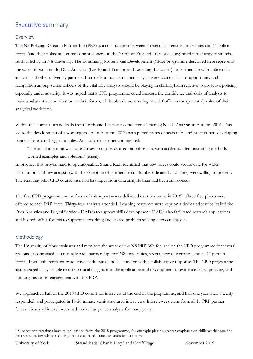# Executive summary

#### Overview

The N8 Policing Research Partnership (PRP) is a collaboration between 8 research-intensive universities and 11 police forces (and their police and crime commissioners) in the North of England. Its work is organised into 9 activity strands. Each is led by an N8 university. The Continuing Professional Development (CPD) programme described here represents the work of two strands, Data Analytics (Leeds) and Training and Learning (Lancaster), in partnership with police data analysts and other university partners. It arose from concerns that analysts were facing a lack of opportunity and recognition among senior officers of the vital role analysts should be playing in shifting from reactive to proactive policing, especially under austerity. It was hoped that a CPD programme could increase the confidence and skills of analysts to make a substantive contribution to their forces; whilst also demonstrating to chief officers the (potential) value of their analytical workforce.

Within this context, strand leads from Leeds and Lancaster conducted a Training Needs Analysis in Autumn 2016. This led to the development of a working group (in Autumn 2017) with paired teams of academics and practitioners developing content for each of eight modules. An academic partner commented:

'The initial intention was for each session to be centred on police data with academics demonstrating methods, worked examples and solutions' (email).

In practice, this proved hard to operationalise. Strand leads identified that few forces could secure data for wider distribution, and few analysts (with the exception of partners from Humberside and Lancashire) were willing to present. The resulting pilot CPD course thus had less input from data analysts than had been envisioned.

The first CPD programme – the focus of this report – was delivered over 6 months in 2018<sup>2</sup> . Three free places were offered to each PRP force. Thirty-four analysts attended. Learning resources were kept on a dedicated service (called the Data Analytics and Digital Service - DADS) to support skills development. DADS also facilitated research applications and hosted online forums to support networking and shared problem solving between analysts.

#### Methodology

The University of York evaluates and monitors the work of the N8 PRP. We focused on the CPD programme for several reasons. It comprised an unusually wide partnership: two N8 universities, several new universities, and all 11 partner forces. It was inherently co-productive, addressing a police concern with a collaborative response. The CPD programme also engaged analysts able to offer critical insights into the application and development of evidence-based policing, and into organisations' engagement with the PRP.

We approached half of the 2018 CPD cohort for interview at the end of the programme, and half one year later. Twenty responded, and participated in 15-26 minute semi-structured interviews. Interviewees came from all 11 PRP partner forces. Nearly all interviewees had worked as police analysts for many years.

<sup>2</sup> Subsequent iterations have taken lessons from the 2018 programme, for example placing greater emphasis on skills workshops and data visualisation whilst reducing the use of hard-to-access statistical software.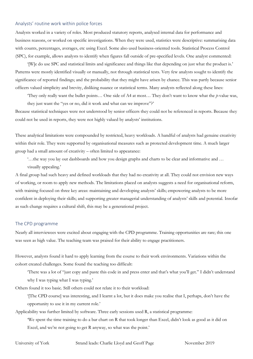#### Analysts' routine work within police forces

Analysts worked in a variety of roles. Most produced statutory reports, analysed internal data for performance and business reasons, or worked on specific investigations. When they were used, statistics were descriptive: summarising data with counts, percentages, averages, etc using Excel. Some also used business-oriented tools. Statistical Process Control (SPC), for example, allows analysts to identify when figures fall outside of pre-specified levels. One analyst commented:

'[W]e do use SPC and statistical limits and significance and things like that depending on just what the product is.' Patterns were mostly identified visually or manually, not through statistical tests. Very few analysts sought to identify the significance of reported findings; and the probability that they might have arisen by chance. This was partly because senior officers valued simplicity and brevity, disliking nuance or statistical terms. Many analysts reflected along these lines:

'They only really want the bullet points… One side of A4 at most… They don't want to know what the *p*-value was, they just want the "yes or no, did it work and what can we improve"?'

Because statistical techniques were not understood by senior officers they could not be referenced in reports. Because they could not be used in reports, they were not highly valued by analysts' institutions.

These analytical limitations were compounded by restricted, heavy workloads. A handful of analysts had genuine creativity within their role. They were supported by organisational measures such as protected development time. A much larger group had a small amount of creativity – often limited to appearance:

'…the way you lay out dashboards and how you design graphs and charts to be clear and informative and …

visually appealing.'

A final group had such heavy and defined workloads that they had no creativity at all. They could not envision new ways of working, or room to apply new methods. The limitations placed on analysts suggests a need for organisational reform, with training focused on three key areas: maintaining and developing analysts' skills; empowering analysts to be more confident in deploying their skills; and supporting greater managerial understanding of analysts' skills and potential. Insofar as such change requires a cultural shift, this may be a generational project.

#### The CPD programme

Nearly all interviewees were excited about engaging with the CPD programme. Training opportunities are rare; this one was seen as high value. The teaching team was praised for their ability to engage practitioners.

However, analysts found it hard to apply learning from the course to their work environments. Variations within the cohort created challenges. Some found the teaching too difficult:

'There was a lot of "just copy and paste this code in and press enter and that's what you'll get." I didn't understand why I was typing what I was typing.'

Others found it too basic. Still others could not relate it to their workload:

'[The CPD course] was interesting, and I learnt a lot, but it does make you realise that I, perhaps, don't have the opportunity to use it in my current role.'

Applicability was further limited by software. Three early sessions used R, a statistical programme:

'We spent the time training to do a bar chart on R that took longer than Excel, didn't look as good as it did on Excel, and we're not going to get R anyway, so what was the point.'

University of York Strand leads: Charlie Lloyd and Geoff Page November 2019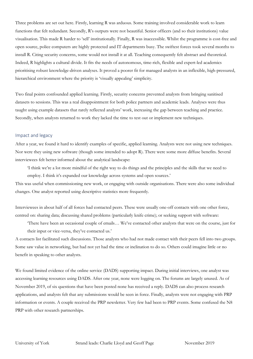Three problems are set out here. Firstly, learning R was arduous. Some training involved considerable work to learn functions that felt redundant. Secondly, R's outputs were not beautiful. Senior officers (and so their institutions) value visualisation. This made R harder to 'sell' institutionally. Finally, R was inaccessible. Whilst the programme is cost-free and open source, police computers are highly protected and IT departments busy. The swiftest forces took several months to install R. Citing security concerns, some would not install it at all. Teaching consequently felt abstract and theoretical. Indeed, R highlights a cultural divide. It fits the needs of autonomous, time-rich, flexible and expert-led academics prioritising robust knowledge-driven analyses. It proved a poorer fit for managed analysts in an inflexible, high-pressured, hierarchical environment where the priority is 'visually appealing' simplicity.

Two final points confounded applied learning. Firstly, security concerns prevented analysts from bringing sanitised datasets to sessions. This was a real disappointment for both police partners and academic leads. Analyses were thus taught using example datasets that rarely reflected analysts' work, increasing the gap between teaching and practice. Secondly, when analysts returned to work they lacked the time to test out or implement new techniques.

#### Impact and legacy

After a year, we found it hard to identify examples of specific, applied learning. Analysts were not using new techniques. Nor were they using new software (though some intended to adopt R). There were some more diffuse benefits. Several interviewees felt better informed about the analytical landscape:

'I think we're a lot more mindful of the right way to do things and the principles and the skills that we need to employ. I think it's expanded our knowledge across systems and open sources.'

This was useful when commissioning new work, or engaging with outside organisations. There were also some individual changes. One analyst reported using descriptive statistics more frequently.

Interviewees in about half of all forces had contacted peers. These were usually one-off contacts with one other force, centred on: sharing data; discussing shared problems (particularly knife crime); or seeking support with software:

'There have been an occasional couple of emails… We've contacted other analysts that were on the course, just for their input or vice-versa, they've contacted us.'

A contacts list facilitated such discussions. Those analysts who had not made contact with their peers fell into two groups. Some saw value in networking, but had not yet had the time or inclination to do so. Others could imagine little or no benefit in speaking to other analysts.

We found limited evidence of the online service (DADS) supporting impact. During initial interviews, one analyst was accessing learning resources using DADS. After one year, none were logging on. The forums are largely unused. As of November 2019, of six questions that have been posted none has received a reply. DADS can also process research applications, and analysts felt that any submissions would be seen in force. Finally, analysts were not engaging with PRP information or events. A couple received the PRP newsletter. Very few had been to PRP events. Some confused the N8 PRP with other research partnerships.